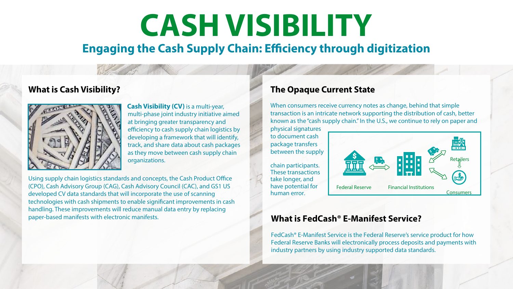# **CASH VISIBILITY**

# **Engaging the Cash Supply Chain: Efficiency through digitization**

#### **What is Cash Visibility?**



**Cash Visibility (CV)** is a multi-year, multi-phase joint industry initiative aimed at bringing greater transparency and efficiency to cash supply chain logistics by developing a framework that will identify, track, and share data about cash packages as they move between cash supply chain organizations.

Using supply chain logistics standards and concepts, the Cash Product Office (CPO), Cash Advisory Group (CAG), Cash Advisory Council (CAC), and GS1 US developed CV data standards that will incorporate the use of scanning technologies with cash shipments to enable significant improvements in cash handling. These improvements will reduce manual data entry by replacing paper-based manifests with electronic manifests.

#### **The Opaque Current State**

When consumers receive currency notes as change, behind that simple transaction is an intricate network supporting the distribution of cash, better known as the "cash supply chain." In the U.S., we continue to rely on paper and

physical signatures to document cash package transfers between the supply

chain participants. These transactions take longer, and have potential for human error.



#### **What is FedCash® E-Manifest Service?**

FedCash® E-Manifest Service is the Federal Reserve's service product for how Federal Reserve Banks will electronically process deposits and payments with industry partners by using industry supported data standards.